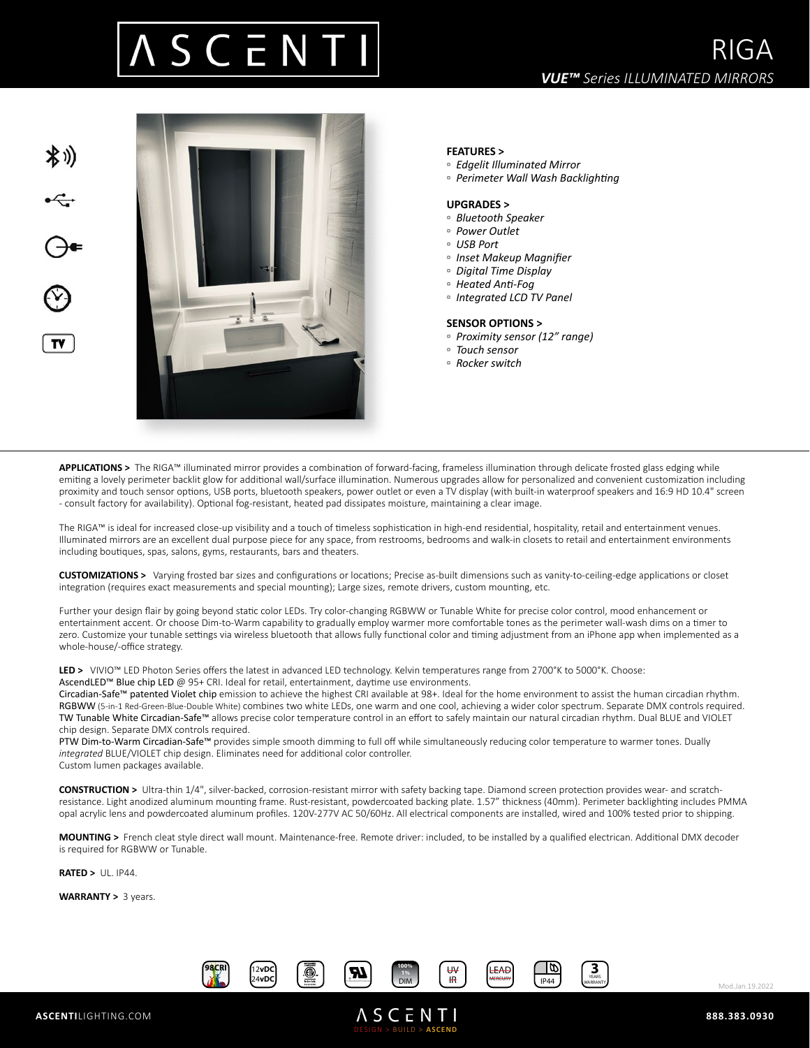## S C E N



## **FEATURES >**

- *Edgelit Illuminated Mirror*
- *Perimeter Wall Wash Backlighting*

### **UPGRADES >**

- *Bluetooth Speaker*
- *Power Outlet*
- *USB Port*
- *Inset Makeup Magnifier*
- *Digital Time Display*
- *Heated Anti-Fog*
- *Integrated LCD TV Panel*

### **SENSOR OPTIONS >**

- *Proximity sensor (12" range)*
- *Touch sensor*
- *Rocker switch*

**APPLICATIONS >** The RIGA™ illuminated mirror provides a combination of forward-facing, frameless illumination through delicate frosted glass edging while emiting a lovely perimeter backlit glow for additional wall/surface illumination. Numerous upgrades allow for personalized and convenient customization including proximity and touch sensor options, USB ports, bluetooth speakers, power outlet or even a TV display (with built-in waterproof speakers and 16:9 HD 10.4" screen - consult factory for availability). Optional fog-resistant, heated pad dissipates moisture, maintaining a clear image.

The RIGA™ is ideal for increased close-up visibility and a touch of timeless sophistication in high-end residential, hospitality, retail and entertainment venues. Illuminated mirrors are an excellent dual purpose piece for any space, from restrooms, bedrooms and walk-in closets to retail and entertainment environments including boutiques, spas, salons, gyms, restaurants, bars and theaters.

**CUSTOMIZATIONS >** Varying frosted bar sizes and configurations or locations; Precise as-built dimensions such as vanity-to-ceiling-edge applications or closet integration (requires exact measurements and special mounting); Large sizes, remote drivers, custom mounting, etc.

Further your design flair by going beyond static color LEDs. Try color-changing RGBWW or Tunable White for precise color control, mood enhancement or entertainment accent. Or choose Dim-to-Warm capability to gradually employ warmer more comfortable tones as the perimeter wall-wash dims on a timer to zero. Customize your tunable settings via wireless bluetooth that allows fully functional color and timing adjustment from an iPhone app when implemented as a whole-house/-office strategy.

**LED >** VIVIO™ LED Photon Series offers the latest in advanced LED technology. Kelvin temperatures range from 2700°K to 5000°K. Choose: AscendLED™ Blue chip LED @ 95+ CRI. Ideal for retail, entertainment, daytime use environments.

Circadian-Safe™ patented Violet chip emission to achieve the highest CRI available at 98+. Ideal for the home environment to assist the human circadian rhythm. RGBWW (5-in-1 Red-Green-Blue-Double White) combines two white LEDs, one warm and one cool, achieving a wider color spectrum. Separate DMX controls required. TW Tunable White Circadian-Safe™ allows precise color temperature control in an effort to safely maintain our natural circadian rhythm. Dual BLUE and VIOLET chip design. Separate DMX controls required.

PTW Dim-to-Warm Circadian-Safe™ provides simple smooth dimming to full off while simultaneously reducing color temperature to warmer tones. Dually *integrated* BLUE/VIOLET chip design. Eliminates need for additional color controller. Custom lumen packages available.

**CONSTRUCTION >** Ultra-thin 1/4", silver-backed, corrosion-resistant mirror with safety backing tape. Diamond screen protection provides wear- and scratchresistance. Light anodized aluminum mounting frame. Rust-resistant, powdercoated backing plate. 1.57" thickness (40mm). Perimeter backlighting includes PMMA opal acrylic lens and powdercoated aluminum profiles. 120V-277V AC 50/60Hz. All electrical components are installed, wired and 100% tested prior to shipping.

**MOUNTING >** French cleat style direct wall mount. Maintenance-free. Remote driver: included, to be installed by a qualified electrican. Additional DMX decoder is required for RGBWW or Tunable.

**RATED >** UL. IP44.

**WARRANTY >** 3 years.



DESIGN > BUILD > **ASCEND**

**ASCENTI** 



Mod.Jan.19.2022